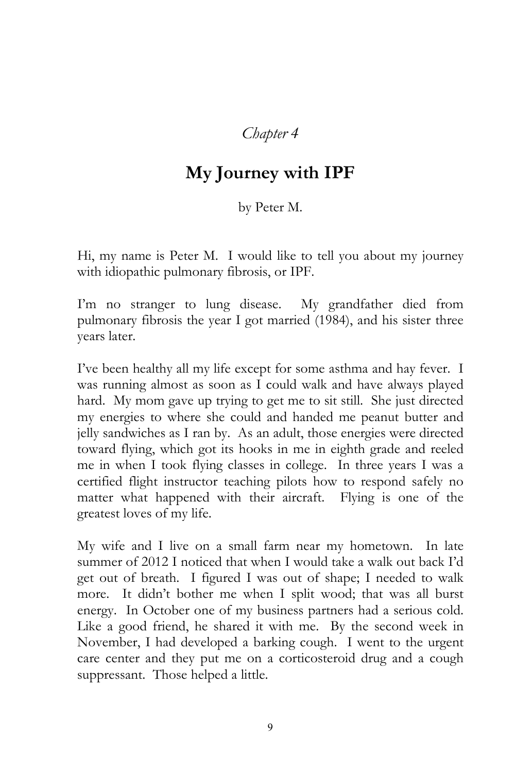## *Chapter 4*

## **My Journey with IPF**

by Peter M.

Hi, my name is Peter M. I would like to tell you about my journey with idiopathic pulmonary fibrosis, or IPF.

I'm no stranger to lung disease. My grandfather died from pulmonary fibrosis the year I got married (1984), and his sister three years later.

I've been healthy all my life except for some asthma and hay fever. I was running almost as soon as I could walk and have always played hard. My mom gave up trying to get me to sit still. She just directed my energies to where she could and handed me peanut butter and jelly sandwiches as I ran by. As an adult, those energies were directed toward flying, which got its hooks in me in eighth grade and reeled me in when I took flying classes in college. In three years I was a certified flight instructor teaching pilots how to respond safely no matter what happened with their aircraft. Flying is one of the greatest loves of my life.

My wife and I live on a small farm near my hometown. In late summer of 2012 I noticed that when I would take a walk out back I'd get out of breath. I figured I was out of shape; I needed to walk more. It didn't bother me when I split wood; that was all burst energy. In October one of my business partners had a serious cold. Like a good friend, he shared it with me. By the second week in November, I had developed a barking cough. I went to the urgent care center and they put me on a corticosteroid drug and a cough suppressant. Those helped a little.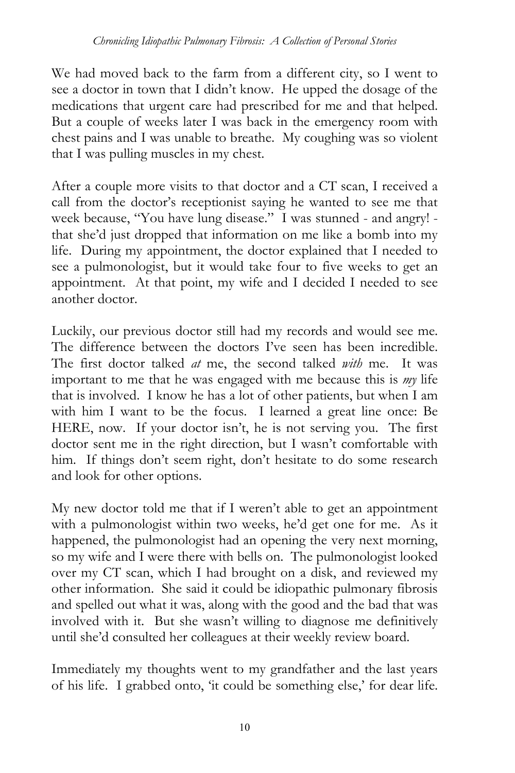We had moved back to the farm from a different city, so I went to see a doctor in town that I didn't know. He upped the dosage of the medications that urgent care had prescribed for me and that helped. But a couple of weeks later I was back in the emergency room with chest pains and I was unable to breathe. My coughing was so violent that I was pulling muscles in my chest.

After a couple more visits to that doctor and a CT scan, I received a call from the doctor's receptionist saying he wanted to see me that week because, "You have lung disease." I was stunned - and angry! that she'd just dropped that information on me like a bomb into my life. During my appointment, the doctor explained that I needed to see a pulmonologist, but it would take four to five weeks to get an appointment. At that point, my wife and I decided I needed to see another doctor.

Luckily, our previous doctor still had my records and would see me. The difference between the doctors I've seen has been incredible. The first doctor talked *at* me, the second talked *with* me. It was important to me that he was engaged with me because this is *my* life that is involved. I know he has a lot of other patients, but when I am with him I want to be the focus. I learned a great line once: Be HERE, now. If your doctor isn't, he is not serving you. The first doctor sent me in the right direction, but I wasn't comfortable with him. If things don't seem right, don't hesitate to do some research and look for other options.

My new doctor told me that if I weren't able to get an appointment with a pulmonologist within two weeks, he'd get one for me. As it happened, the pulmonologist had an opening the very next morning, so my wife and I were there with bells on. The pulmonologist looked over my CT scan, which I had brought on a disk, and reviewed my other information. She said it could be idiopathic pulmonary fibrosis and spelled out what it was, along with the good and the bad that was involved with it. But she wasn't willing to diagnose me definitively until she'd consulted her colleagues at their weekly review board.

Immediately my thoughts went to my grandfather and the last years of his life. I grabbed onto, 'it could be something else,' for dear life.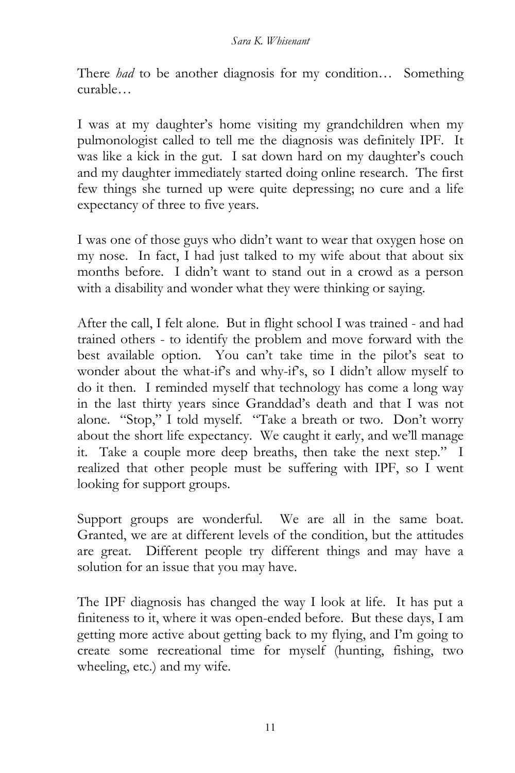There *had* to be another diagnosis for my condition... Something curable…

I was at my daughter's home visiting my grandchildren when my pulmonologist called to tell me the diagnosis was definitely IPF. It was like a kick in the gut. I sat down hard on my daughter's couch and my daughter immediately started doing online research. The first few things she turned up were quite depressing; no cure and a life expectancy of three to five years.

I was one of those guys who didn't want to wear that oxygen hose on my nose. In fact, I had just talked to my wife about that about six months before. I didn't want to stand out in a crowd as a person with a disability and wonder what they were thinking or saying.

After the call, I felt alone. But in flight school I was trained - and had trained others - to identify the problem and move forward with the best available option. You can't take time in the pilot's seat to wonder about the what-if's and why-if's, so I didn't allow myself to do it then. I reminded myself that technology has come a long way in the last thirty years since Granddad's death and that I was not alone. "Stop," I told myself. "Take a breath or two. Don't worry about the short life expectancy. We caught it early, and we'll manage it. Take a couple more deep breaths, then take the next step." I realized that other people must be suffering with IPF, so I went looking for support groups.

Support groups are wonderful. We are all in the same boat. Granted, we are at different levels of the condition, but the attitudes are great. Different people try different things and may have a solution for an issue that you may have.

The IPF diagnosis has changed the way I look at life. It has put a finiteness to it, where it was open-ended before. But these days, I am getting more active about getting back to my flying, and I'm going to create some recreational time for myself (hunting, fishing, two wheeling, etc.) and my wife.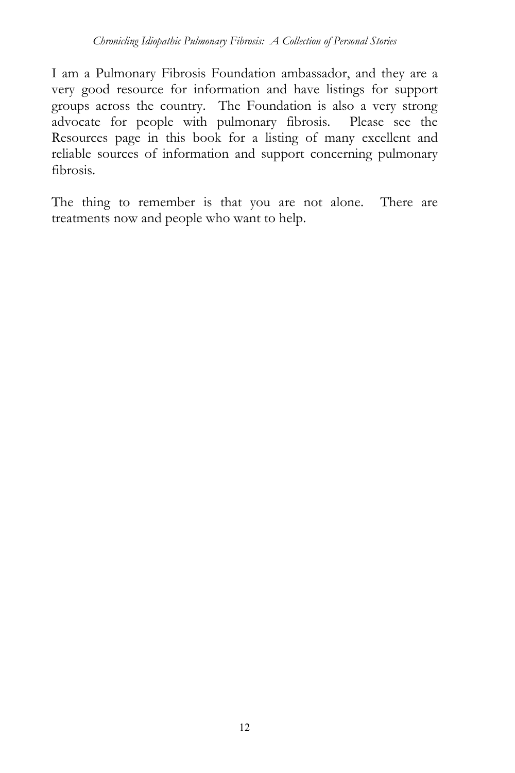I am a Pulmonary Fibrosis Foundation ambassador, and they are a very good resource for information and have listings for support groups across the country. The Foundation is also a very strong advocate for people with pulmonary fibrosis. Please see the Resources page in this book for a listing of many excellent and reliable sources of information and support concerning pulmonary fibrosis.

The thing to remember is that you are not alone. There are treatments now and people who want to help.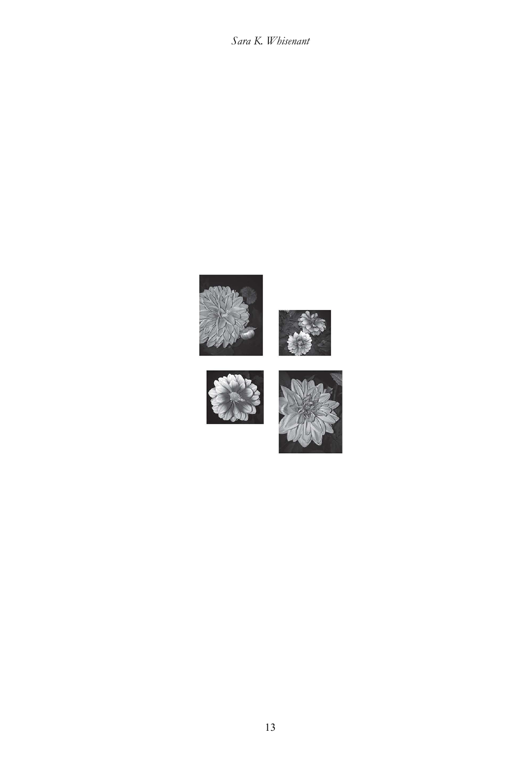*Sara K. Whisenant*